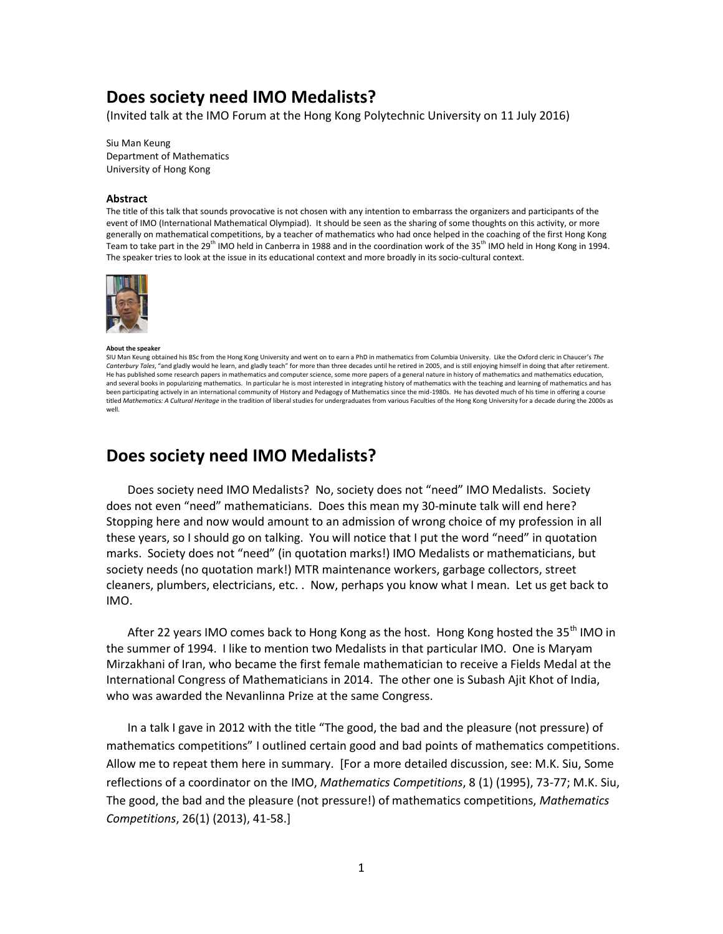# **Does society need IMO Medalists?**

(Invited talk at the IMO Forum at the Hong Kong Polytechnic University on 11 July 2016)

Siu Man Keung Department of Mathematics University of Hong Kong

#### **Abstract**

The title of this talk that sounds provocative is not chosen with any intention to embarrass the organizers and participants of the event of IMO (International Mathematical Olympiad). It should be seen as the sharing of some thoughts on this activity, or more generally on mathematical competitions, by a teacher of mathematics who had once helped in the coaching of the first Hong Kong Team to take part in the 29<sup>th</sup> IMO held in Canberra in 1988 and in the coordination work of the 35<sup>th</sup> IMO held in Hong Kong in 1994. The speaker tries to look at the issue in its educational context and more broadly in its socio-cultural context.



**About the speaker** SIU Man Keung obtained his BSc from the Hong Kong University and went on to earn a PhD in mathematics from Columbia University. Like the Oxford cleric in Chaucer's *The Canterbury Tales*, "and gladly would he learn, and gladly teach" for more than three decades until he retired in 2005, and is still enjoying himself in doing that after retirement. He has published some research papers in mathematics and computer science, some more papers of a general nature in history of mathematics and mathematics education, and several books in popularizing mathematics. In particular he is most interested in integrating history of mathematics with the teaching and learning of mathematics and has been participating actively in an international community of History and Pedagogy of Mathematics since the mid-1980s. He has devoted much of his time in offering a course titled *Mathematics: A Cultural Heritage* in the tradition of liberal studies for undergraduates from various Faculties of the Hong Kong University for a decade during the 2000s as well.

## **Does society need IMO Medalists?**

Does society need IMO Medalists? No, society does not "need" IMO Medalists. Society does not even "need" mathematicians. Does this mean my 30-minute talk will end here? Stopping here and now would amount to an admission of wrong choice of my profession in all these years, so I should go on talking. You will notice that I put the word "need" in quotation marks. Society does not "need" (in quotation marks!) IMO Medalists or mathematicians, but society needs (no quotation mark!) MTR maintenance workers, garbage collectors, street cleaners, plumbers, electricians, etc. . Now, perhaps you know what I mean. Let us get back to IMO.

After 22 years IMO comes back to Hong Kong as the host. Hong Kong hosted the 35<sup>th</sup> IMO in the summer of 1994. I like to mention two Medalists in that particular IMO. One is Maryam Mirzakhani of Iran, who became the first female mathematician to receive a Fields Medal at the International Congress of Mathematicians in 2014. The other one is Subash Ajit Khot of India, who was awarded the Nevanlinna Prize at the same Congress.

In a talk I gave in 2012 with the title "The good, the bad and the pleasure (not pressure) of mathematics competitions" I outlined certain good and bad points of mathematics competitions. Allow me to repeat them here in summary. [For a more detailed discussion, see: M.K. Siu, Some reflections of a coordinator on the IMO, *Mathematics Competitions*, 8 (1) (1995), 73-77; M.K. Siu, The good, the bad and the pleasure (not pressure!) of mathematics competitions, *Mathematics Competitions*, 26(1) (2013), 41-58.]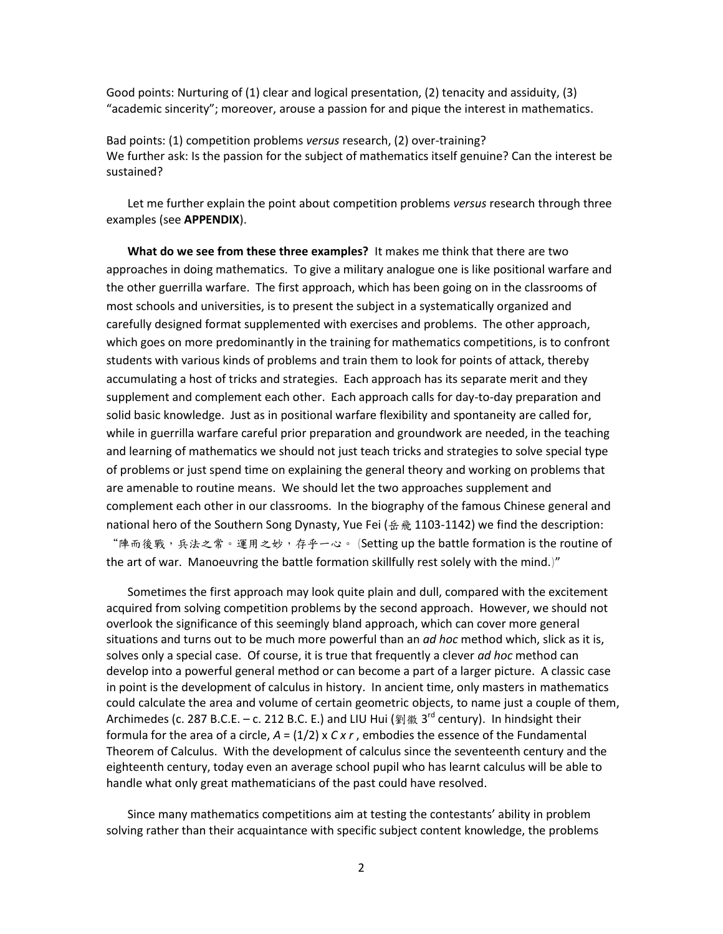Good points: Nurturing of (1) clear and logical presentation, (2) tenacity and assiduity, (3) "academic sincerity"; moreover, arouse a passion for and pique the interest in mathematics.

Bad points: (1) competition problems *versus* research, (2) over-training? We further ask: Is the passion for the subject of mathematics itself genuine? Can the interest be sustained?

Let me further explain the point about competition problems *versus* research through three examples (see **APPENDIX**).

**What do we see from these three examples?** It makes me think that there are two approaches in doing mathematics. To give a military analogue one is like positional warfare and the other guerrilla warfare. The first approach, which has been going on in the classrooms of most schools and universities, is to present the subject in a systematically organized and carefully designed format supplemented with exercises and problems. The other approach, which goes on more predominantly in the training for mathematics competitions, is to confront students with various kinds of problems and train them to look for points of attack, thereby accumulating a host of tricks and strategies. Each approach has its separate merit and they supplement and complement each other. Each approach calls for day-to-day preparation and solid basic knowledge. Just as in positional warfare flexibility and spontaneity are called for, while in guerrilla warfare careful prior preparation and groundwork are needed, in the teaching and learning of mathematics we should not just teach tricks and strategies to solve special type of problems or just spend time on explaining the general theory and working on problems that are amenable to routine means. We should let the two approaches supplement and complement each other in our classrooms. In the biography of the famous Chinese general and national hero of the Southern Song Dynasty, Yue Fei (岳飛 1103-1142) we find the description: "陣而後戰,兵法之常。運用之妙,存乎一心。 (Setting up the battle formation is the routine of the art of war. Manoeuvring the battle formation skillfully rest solely with the mind.)"

Sometimes the first approach may look quite plain and dull, compared with the excitement acquired from solving competition problems by the second approach. However, we should not overlook the significance of this seemingly bland approach, which can cover more general situations and turns out to be much more powerful than an *ad hoc* method which, slick as it is, solves only a special case. Of course, it is true that frequently a clever *ad hoc* method can develop into a powerful general method or can become a part of a larger picture. A classic case in point is the development of calculus in history. In ancient time, only masters in mathematics could calculate the area and volume of certain geometric objects, to name just a couple of them, Archimedes (c. 287 B.C.E. – c. 212 B.C. E.) and LIU Hui (劉徽 3<sup>rd</sup> century). In hindsight their formula for the area of a circle, *A* = (1/2) x *C x r* , embodies the essence of the Fundamental Theorem of Calculus. With the development of calculus since the seventeenth century and the eighteenth century, today even an average school pupil who has learnt calculus will be able to handle what only great mathematicians of the past could have resolved.

Since many mathematics competitions aim at testing the contestants' ability in problem solving rather than their acquaintance with specific subject content knowledge, the problems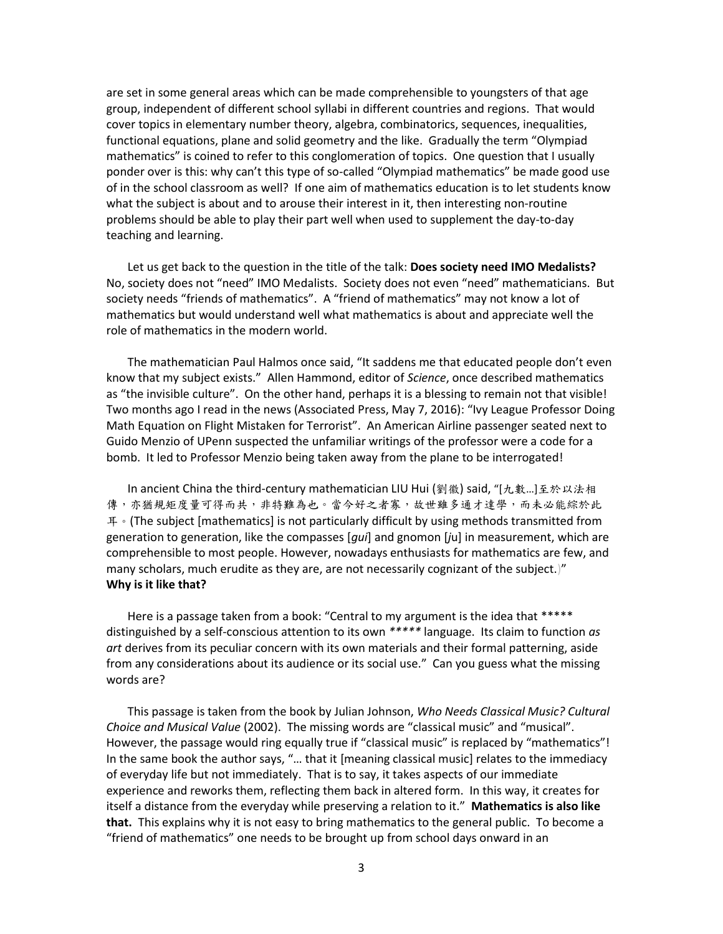are set in some general areas which can be made comprehensible to youngsters of that age group, independent of different school syllabi in different countries and regions. That would cover topics in elementary number theory, algebra, combinatorics, sequences, inequalities, functional equations, plane and solid geometry and the like. Gradually the term "Olympiad mathematics" is coined to refer to this conglomeration of topics. One question that I usually ponder over is this: why can't this type of so-called "Olympiad mathematics" be made good use of in the school classroom as well? If one aim of mathematics education is to let students know what the subject is about and to arouse their interest in it, then interesting non-routine problems should be able to play their part well when used to supplement the day-to-day teaching and learning.

Let us get back to the question in the title of the talk: **Does society need IMO Medalists?** No, society does not "need" IMO Medalists. Society does not even "need" mathematicians. But society needs "friends of mathematics". A "friend of mathematics" may not know a lot of mathematics but would understand well what mathematics is about and appreciate well the role of mathematics in the modern world.

The mathematician Paul Halmos once said, "It saddens me that educated people don't even know that my subject exists." Allen Hammond, editor of *Science*, once described mathematics as "the invisible culture". On the other hand, perhaps it is a blessing to remain not that visible! Two months ago I read in the news (Associated Press, May 7, 2016): "Ivy League Professor Doing Math Equation on Flight Mistaken for Terrorist". An American Airline passenger seated next to Guido Menzio of UPenn suspected the unfamiliar writings of the professor were a code for a bomb. It led to Professor Menzio being taken away from the plane to be interrogated!

In ancient China the third-century mathematician LIU Hui (劉徽) said, "[九數…]至於以法相 傳,亦猶規矩度量可得而共,非特難為也。當今好之者寡,故世雖多通才達學,而未必能綜於此 耳。(The subject [mathematics] is not particularly difficult by using methods transmitted from generation to generation, like the compasses [*gui*] and gnomon [*j*u] in measurement, which are comprehensible to most people. However, nowadays enthusiasts for mathematics are few, and many scholars, much erudite as they are, are not necessarily cognizant of the subject.)" **Why is it like that?** 

Here is a passage taken from a book: "Central to my argument is the idea that \*\*\*\*\* distinguished by a self-conscious attention to its own *\*\*\*\*\** language. Its claim to function *as art* derives from its peculiar concern with its own materials and their formal patterning, aside from any considerations about its audience or its social use." Can you guess what the missing words are?

This passage is taken from the book by Julian Johnson, *Who Needs Classical Music? Cultural Choice and Musical Value* (2002). The missing words are "classical music" and "musical". However, the passage would ring equally true if "classical music" is replaced by "mathematics"! In the same book the author says, "… that it [meaning classical music] relates to the immediacy of everyday life but not immediately. That is to say, it takes aspects of our immediate experience and reworks them, reflecting them back in altered form. In this way, it creates for itself a distance from the everyday while preserving a relation to it." **Mathematics is also like that.** This explains why it is not easy to bring mathematics to the general public. To become a "friend of mathematics" one needs to be brought up from school days onward in an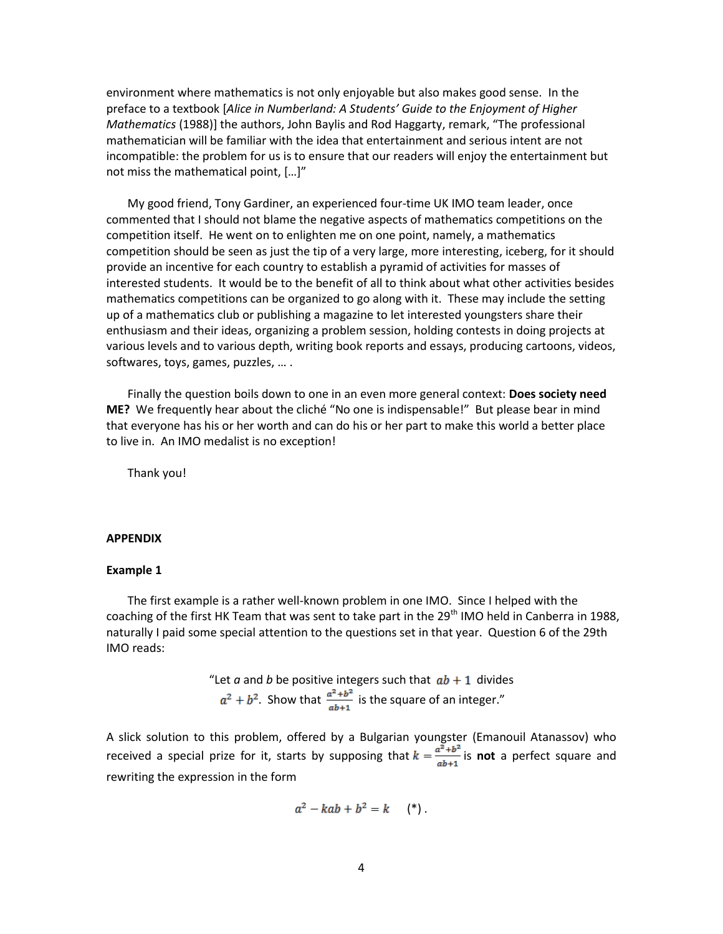environment where mathematics is not only enjoyable but also makes good sense. In the preface to a textbook [*Alice in Numberland: A Students' Guide to the Enjoyment of Higher Mathematics* (1988)] the authors, John Baylis and Rod Haggarty, remark, "The professional mathematician will be familiar with the idea that entertainment and serious intent are not incompatible: the problem for us is to ensure that our readers will enjoy the entertainment but not miss the mathematical point, […]"

My good friend, Tony Gardiner, an experienced four-time UK IMO team leader, once commented that I should not blame the negative aspects of mathematics competitions on the competition itself. He went on to enlighten me on one point, namely, a mathematics competition should be seen as just the tip of a very large, more interesting, iceberg, for it should provide an incentive for each country to establish a pyramid of activities for masses of interested students. It would be to the benefit of all to think about what other activities besides mathematics competitions can be organized to go along with it. These may include the setting up of a mathematics club or publishing a magazine to let interested youngsters share their enthusiasm and their ideas, organizing a problem session, holding contests in doing projects at various levels and to various depth, writing book reports and essays, producing cartoons, videos, softwares, toys, games, puzzles, … .

Finally the question boils down to one in an even more general context: **Does society need ME?** We frequently hear about the cliché "No one is indispensable!" But please bear in mind that everyone has his or her worth and can do his or her part to make this world a better place to live in. An IMO medalist is no exception!

Thank you!

#### **APPENDIX**

#### **Example 1**

The first example is a rather well-known problem in one IMO. Since I helped with the coaching of the first HK Team that was sent to take part in the 29<sup>th</sup> IMO held in Canberra in 1988, naturally I paid some special attention to the questions set in that year. Question 6 of the 29th IMO reads:

> "Let  $a$  and  $b$  be positive integers such that  $ab + 1$  divides  $a^2 + b^2$ . Show that  $\frac{a^2 + b^2}{ab+1}$  is the square of an integer."

A slick solution to this problem, offered by a Bulgarian youngster (Emanouil Atanassov) who received a special prize for it, starts by supposing that  $k = \frac{a^2 + b^2}{ab+1}$  is **not** a perfect square and rewriting the expression in the form

$$
a^2 - kab + b^2 = k \qquad (*)
$$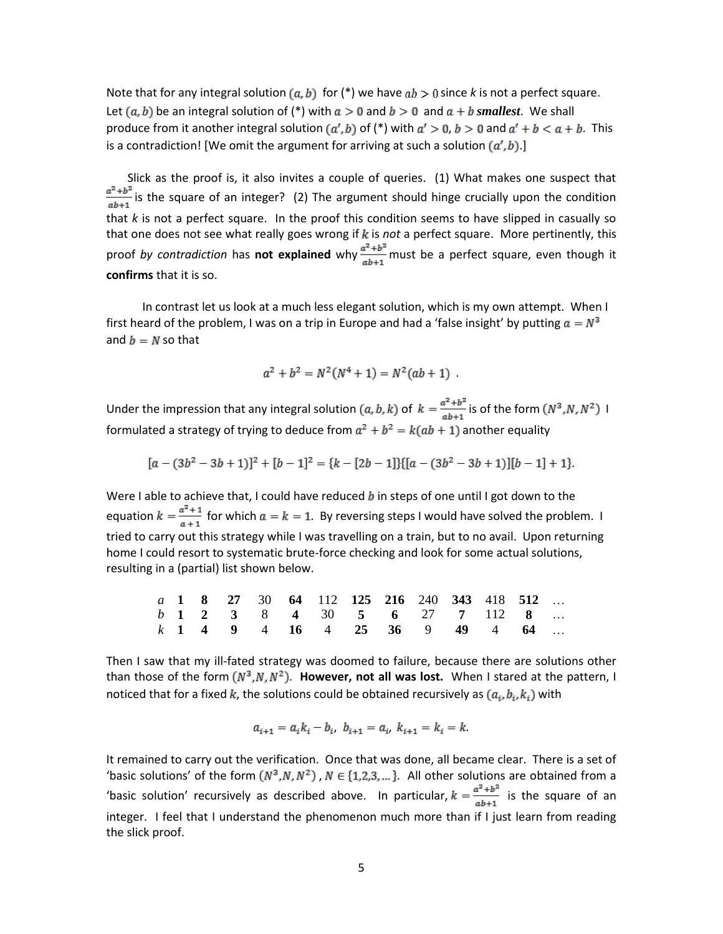Note that for any integral solution  $(a, b)$  for  $(*)$  we have  $ab > 0$  since k is not a perfect square. Let  $(a, b)$  be an integral solution of (\*) with  $a > 0$  and  $b > 0$  and  $a + b$  smallest. We shall produce from it another integral solution  $(a', b)$  of (\*) with  $a' > 0$ ,  $b > 0$  and  $a' + b < a + b$ . This is a contradiction! [We omit the argument for arriving at such a solution  $(a', b)$ .]

Slick as the proof is, it also invites a couple of queries. (1) What makes one suspect that  $\frac{a^2+b^2}{ab+1}$  is the square of an integer? (2) The argument should hinge crucially upon the condition that *k* is not a perfect square. In the proof this condition seems to have slipped in casually so that one does not see what really goes wrong if  $k$  is *not* a perfect square. More pertinently, this proof *by contradiction* has **not explained** why  $\frac{a^2 + b^2}{ab+1}$  must be a perfect square, even though it **confirms** that it is so.

 In contrast let us look at a much less elegant solution, which is my own attempt. When I first heard of the problem, I was on a trip in Europe and had a 'false insight' by putting  $a = N^3$ and  $b = N$  so that

$$
a^2 + b^2 = N^2(N^4 + 1) = N^2(ab + 1) .
$$

Under the impression that any integral solution  $(a, b, k)$  of  $k = \frac{a^2 + b^2}{ab+1}$  is of the form  $(N^3, N, N^2)$  I formulated a strategy of trying to deduce from  $a^2 + b^2 = k(ab + 1)$  another equality

$$
[a-(3b^2-3b+1)]^2+[b-1]^2=[k-[2b-1]]{[(a-(3b^2-3b+1)][b-1]+1]}.
$$

Were I able to achieve that, I could have reduced  $b$  in steps of one until I got down to the equation  $k = \frac{a^2 + 1}{a + 1}$  for which  $a = k = 1$ . By reversing steps I would have solved the problem. I tried to carry out this strategy while I was travelling on a train, but to no avail. Upon returning home I could resort to systematic brute-force checking and look for some actual solutions, resulting in a (partial) list shown below.

|  |  |  | a 1 8 27 30 64 112 125 216 240 343 418 512 |  |  |  |  |
|--|--|--|--------------------------------------------|--|--|--|--|
|  |  |  | b 1 2 3 8 4 30 5 6 27 7 112 8              |  |  |  |  |
|  |  |  | k 1 4 9 4 16 4 25 36 9 49 4 64             |  |  |  |  |

Then I saw that my ill-fated strategy was doomed to failure, because there are solutions other than those of the form  $(N^3, N, N^2)$ . **However, not all was lost.** When I stared at the pattern, I noticed that for a fixed k, the solutions could be obtained recursively as  $(a_i, b_i, k_i)$  with

$$
a_{i+1} = a_i k_i - b_i, \ b_{i+1} = a_i, \ k_{i+1} = k_i = k.
$$

It remained to carry out the verification. Once that was done, all became clear. There is a set of 'basic solutions' of the form  $(N^3, N, N^2)$ ,  $N \in \{1, 2, 3, ...\}$ . All other solutions are obtained from a 'basic solution' recursively as described above. In particular,  $k = \frac{a^2 + b^2}{ab+1}$  is the square of an integer. I feel that I understand the phenomenon much more than if I just learn from reading the slick proof.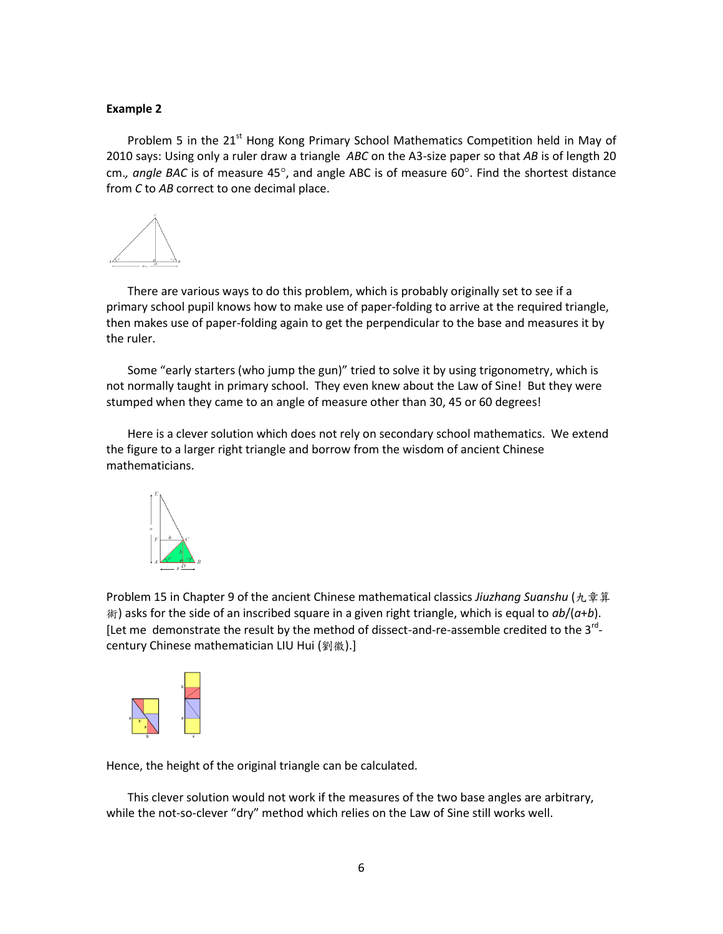### **Example 2**

Problem 5 in the 21<sup>st</sup> Hong Kong Primary School Mathematics Competition held in May of 2010 says: Using only a ruler draw a triangle *ABC* on the A3-size paper so that *AB* is of length 20 cm., angle BAC is of measure 45°, and angle ABC is of measure 60°. Find the shortest distance from *C* to *AB* correct to one decimal place.



There are various ways to do this problem, which is probably originally set to see if a primary school pupil knows how to make use of paper-folding to arrive at the required triangle, then makes use of paper-folding again to get the perpendicular to the base and measures it by the ruler.

Some "early starters (who jump the gun)" tried to solve it by using trigonometry, which is not normally taught in primary school. They even knew about the Law of Sine! But they were stumped when they came to an angle of measure other than 30, 45 or 60 degrees!

Here is a clever solution which does not rely on secondary school mathematics. We extend the figure to a larger right triangle and borrow from the wisdom of ancient Chinese mathematicians.



Problem 15 in Chapter 9 of the ancient Chinese mathematical classics *Jiuzhang Suanshu* (九章算 術) asks for the side of an inscribed square in a given right triangle, which is equal to *ab*/(*a*+*b*). [Let me demonstrate the result by the method of dissect-and-re-assemble credited to the 3<sup>rd</sup>century Chinese mathematician LIU Hui (劉徽).]



Hence, the height of the original triangle can be calculated.

This clever solution would not work if the measures of the two base angles are arbitrary, while the not-so-clever "dry" method which relies on the Law of Sine still works well.